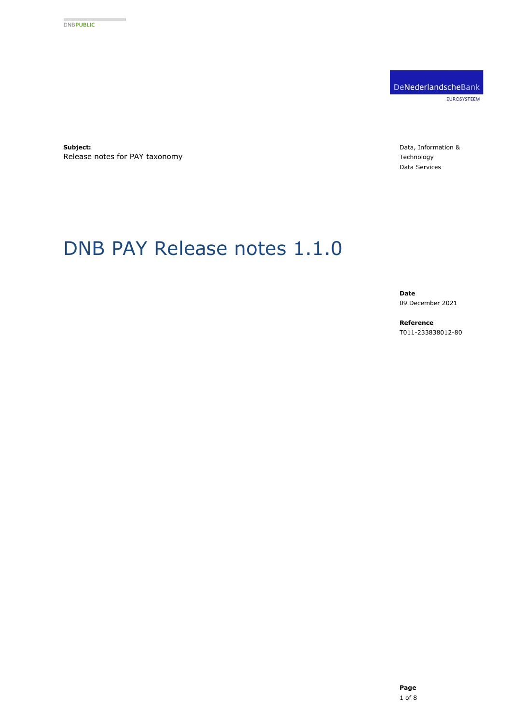DeNederlandscheBank EUROSYSTEEM

**Subject:** Release notes for PAY taxonomy

Data, Information & Technology Data Services

# DNB PAY Release notes 1.1.0

**Date** 09 December 2021

**Reference** T011-233838012-80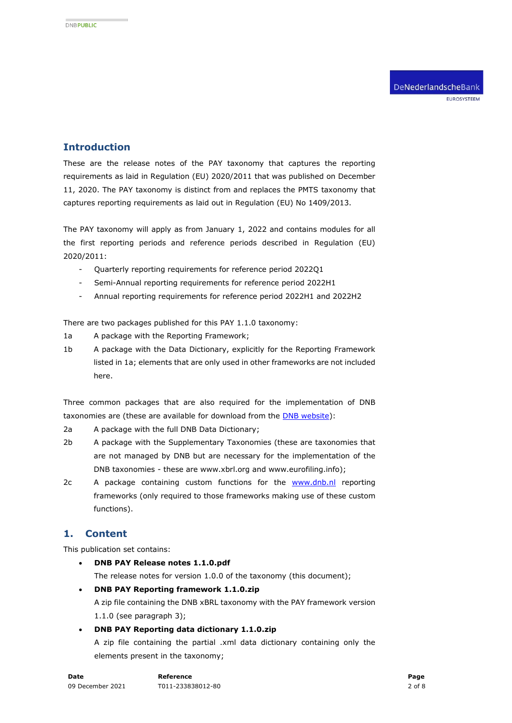# **Introduction**

These are the release notes of the PAY taxonomy that captures the reporting requirements as laid in Regulation (EU) 2020/2011 that was published on December 11, 2020. The PAY taxonomy is distinct from and replaces the PMTS taxonomy that captures reporting requirements as laid out in Regulation (EU) No 1409/2013.

The PAY taxonomy will apply as from January 1, 2022 and contains modules for all the first reporting periods and reference periods described in Regulation (EU) 2020/2011:

- Quarterly reporting requirements for reference period 2022Q1
- Semi-Annual reporting requirements for reference period 2022H1
- Annual reporting requirements for reference period 2022H1 and 2022H2

There are two packages published for this PAY 1.1.0 taxonomy:

- 1a A package with the Reporting Framework;
- 1b A package with the Data Dictionary, explicitly for the Reporting Framework listed in 1a; elements that are only used in other frameworks are not included here.

Three common packages that are also required for the implementation of DNB taxonomies are (these are available for download from the **DNB** website):

2a A package with the full DNB Data Dictionary;

- 2b A package with the Supplementary Taxonomies (these are taxonomies that are not managed by DNB but are necessary for the implementation of the DNB taxonomies - these are www.xbrl.org and www.eurofiling.info);
- 2c A package containing custom functions for the [www.dnb.nl](http://www.dnb.nl/) reporting frameworks (only required to those frameworks making use of these custom functions).

# **1. Content**

This publication set contains:

- **DNB PAY Release notes 1.1.0.pdf** The release notes for version 1.0.0 of the taxonomy (this document);
- **DNB PAY Reporting framework 1.1.0.zip**  A zip file containing the DNB xBRL taxonomy with the PAY framework version 1.1.0 (see paragraph [3\)](#page-3-0);
- **DNB PAY Reporting data dictionary 1.1.0.zip** A zip file containing the partial .xml data dictionary containing only the elements present in the taxonomy;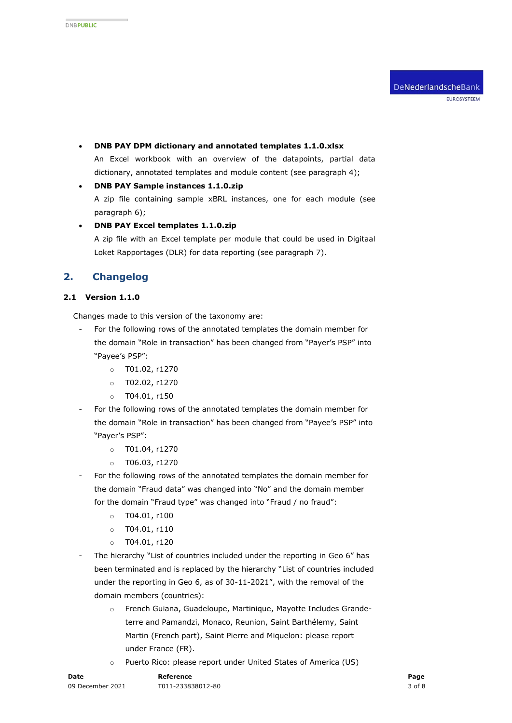- **DNB PAY DPM dictionary and annotated templates 1.1.0.xlsx**  An Excel workbook with an overview of the datapoints, partial data dictionary, annotated templates and module content (see paragraph [4\)](#page-4-0);
- **DNB PAY Sample instances 1.1.0.zip**  A zip file containing sample xBRL instances, one for each module (see paragraph [6\)](#page-5-0);
- **DNB PAY Excel templates 1.1.0.zip** A zip file with an Excel template per module that could be used in Digitaal Loket Rapportages (DLR) for data reporting (see paragraph [7\)](#page-5-1).

# **2. Changelog**

#### **2.1 Version 1.1.0**

Changes made to this version of the taxonomy are:

- For the following rows of the annotated templates the domain member for the domain "Role in transaction" has been changed from "Payer's PSP" into "Payee's PSP":
	- o T01.02, r1270
	- o T02.02, r1270
	- $o$  T04.01, r150
- For the following rows of the annotated templates the domain member for the domain "Role in transaction" has been changed from "Payee's PSP" into "Payer's PSP":
	- o T01.04, r1270
	- o T06.03, r1270
- For the following rows of the annotated templates the domain member for the domain "Fraud data" was changed into "No" and the domain member for the domain "Fraud type" was changed into "Fraud / no fraud":
	- $o$  T04.01, r100
	- $o$  T04.01, r110
	- $o$  T04.01, r120
- The hierarchy "List of countries included under the reporting in Geo 6" has been terminated and is replaced by the hierarchy "List of countries included under the reporting in Geo 6, as of 30-11-2021", with the removal of the domain members (countries):
	- o French Guiana, Guadeloupe, Martinique, Mayotte Includes Grandeterre and Pamandzi, Monaco, Reunion, Saint Barthélemy, Saint Martin (French part), Saint Pierre and Miquelon: please report under France (FR).
	- o Puerto Rico: please report under United States of America (US)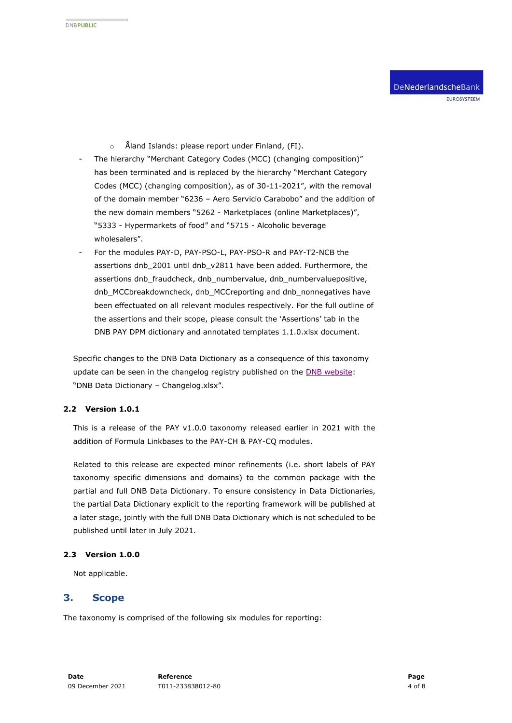- o Åland Islands: please report under Finland, (FI).
- The hierarchy "Merchant Category Codes (MCC) (changing composition)" has been terminated and is replaced by the hierarchy "Merchant Category Codes (MCC) (changing composition), as of 30-11-2021", with the removal of the domain member "6236 – Aero Servicio Carabobo" and the addition of the new domain members "5262 - Marketplaces (online Marketplaces)", "5333 - Hypermarkets of food" and "5715 - Alcoholic beverage wholesalers".
- For the modules PAY-D, PAY-PSO-L, PAY-PSO-R and PAY-T2-NCB the assertions dnb\_2001 until dnb\_v2811 have been added. Furthermore, the assertions dnb\_fraudcheck, dnb\_numbervalue, dnb\_numbervaluepositive, dnb\_MCCbreakdowncheck, dnb\_MCCreporting and dnb\_nonnegatives have been effectuated on all relevant modules respectively. For the full outline of the assertions and their scope, please consult the 'Assertions' tab in the DNB PAY DPM dictionary and annotated templates 1.1.0.xlsx document.

Specific changes to the DNB Data Dictionary as a consequence of this taxonomy update can be seen in the changelog registry published on the **DNB** website: "DNB Data Dictionary – Changelog.xlsx".

#### **2.2 Version 1.0.1**

This is a release of the PAY v1.0.0 taxonomy released earlier in 2021 with the addition of Formula Linkbases to the PAY-CH & PAY-CQ modules.

Related to this release are expected minor refinements (i.e. short labels of PAY taxonomy specific dimensions and domains) to the common package with the partial and full DNB Data Dictionary. To ensure consistency in Data Dictionaries, the partial Data Dictionary explicit to the reporting framework will be published at a later stage, jointly with the full DNB Data Dictionary which is not scheduled to be published until later in July 2021.

#### **2.3 Version 1.0.0**

Not applicable.

#### <span id="page-3-0"></span>**3. Scope**

The taxonomy is comprised of the following six modules for reporting: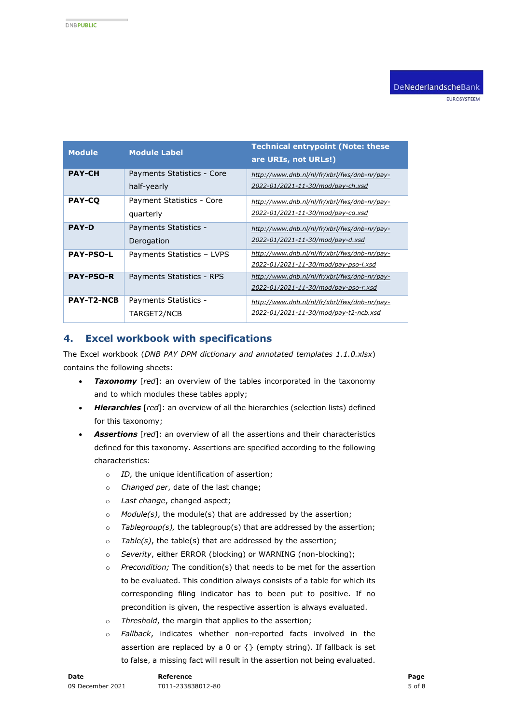EUROSYSTEEM

| <b>Module</b>     | <b>Module Label</b>                       | <b>Technical entrypoint (Note: these</b><br>are URIs, not URLs!)                      |
|-------------------|-------------------------------------------|---------------------------------------------------------------------------------------|
| <b>PAY-CH</b>     | Payments Statistics - Core<br>half-yearly | http://www.dnb.nl/nl/fr/xbrl/fws/dnb-nr/pay-<br>2022-01/2021-11-30/mod/pay-ch.xsd     |
| <b>PAY-CO</b>     | Payment Statistics - Core<br>quarterly    | http://www.dnb.nl/nl/fr/xbrl/fws/dnb-nr/pay-<br>2022-01/2021-11-30/mod/pay-cq.xsd     |
| <b>PAY-D</b>      | Payments Statistics -<br>Derogation       | http://www.dnb.nl/nl/fr/xbrl/fws/dnb-nr/pay-<br>2022-01/2021-11-30/mod/pay-d.xsd      |
| <b>PAY-PSO-L</b>  | Payments Statistics - LVPS                | http://www.dnb.nl/nl/fr/xbrl/fws/dnb-nr/pay-<br>2022-01/2021-11-30/mod/pay-pso-l.xsd  |
| <b>PAY-PSO-R</b>  | Payments Statistics - RPS                 | http://www.dnb.nl/nl/fr/xbrl/fws/dnb-nr/pay-<br>2022-01/2021-11-30/mod/pay-pso-r.xsd  |
| <b>PAY-T2-NCB</b> | Payments Statistics -<br>TARGET2/NCB      | http://www.dnb.nl/nl/fr/xbrl/fws/dnb-nr/pay-<br>2022-01/2021-11-30/mod/pay-t2-ncb.xsd |

## <span id="page-4-0"></span>**4. Excel workbook with specifications**

The Excel workbook (*DNB PAY DPM dictionary and annotated templates 1.1.0.xlsx*) contains the following sheets:

- *Taxonomy* [*red*]: an overview of the tables incorporated in the taxonomy and to which modules these tables apply;
- *Hierarchies* [*red*]: an overview of all the hierarchies (selection lists) defined for this taxonomy;
- *Assertions* [*red*]: an overview of all the assertions and their characteristics defined for this taxonomy. Assertions are specified according to the following characteristics:
	- o *ID*, the unique identification of assertion;
	- o *Changed per*, date of the last change;
	- o *Last change*, changed aspect;
	- o *Module(s)*, the module(s) that are addressed by the assertion;
	- o *Tablegroup(s),* the tablegroup(s) that are addressed by the assertion;
	- o *Table(s)*, the table(s) that are addressed by the assertion;
	- o *Severity*, either ERROR (blocking) or WARNING (non-blocking);
	- o *Precondition;* The condition(s) that needs to be met for the assertion to be evaluated. This condition always consists of a table for which its corresponding filing indicator has to been put to positive. If no precondition is given, the respective assertion is always evaluated.
	- o *Threshold*, the margin that applies to the assertion;
	- o *Fallback*, indicates whether non-reported facts involved in the assertion are replaced by a 0 or  $\{ \}$  (empty string). If fallback is set to false, a missing fact will result in the assertion not being evaluated.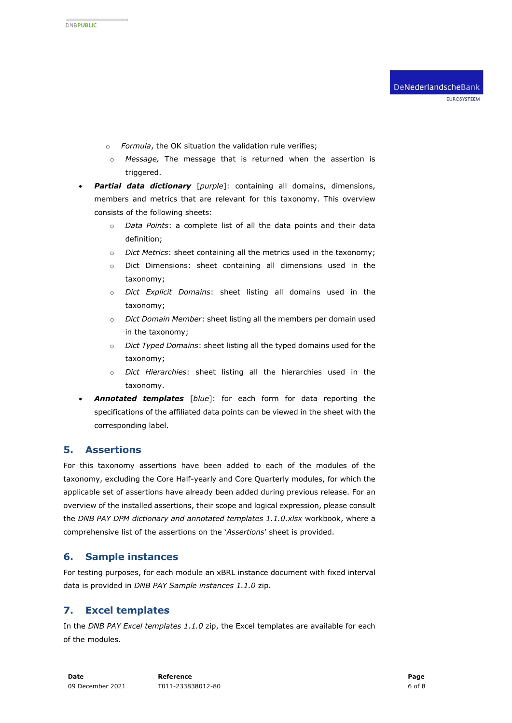- o *Formula*, the OK situation the validation rule verifies;
- o *Message,* The message that is returned when the assertion is triggered.
- *Partial data dictionary* [*purple*]: containing all domains, dimensions, members and metrics that are relevant for this taxonomy. This overview consists of the following sheets:
	- o *Data Points*: a complete list of all the data points and their data definition;
	- o *Dict Metrics*: sheet containing all the metrics used in the taxonomy;
	- o Dict Dimensions: sheet containing all dimensions used in the taxonomy;
	- o *Dict Explicit Domains*: sheet listing all domains used in the taxonomy;
	- o *Dict Domain Member*: sheet listing all the members per domain used in the taxonomy;
	- o *Dict Typed Domains*: sheet listing all the typed domains used for the taxonomy;
	- o *Dict Hierarchies*: sheet listing all the hierarchies used in the taxonomy.
- *Annotated templates* [*blue*]: for each form for data reporting the specifications of the affiliated data points can be viewed in the sheet with the corresponding label.

## **5. Assertions**

For this taxonomy assertions have been added to each of the modules of the taxonomy, excluding the Core Half-yearly and Core Quarterly modules, for which the applicable set of assertions have already been added during previous release. For an overview of the installed assertions, their scope and logical expression, please consult the *DNB PAY DPM dictionary and annotated templates 1.1.0.xlsx* workbook, where a comprehensive list of the assertions on the '*Assertions*' sheet is provided.

## <span id="page-5-0"></span>**6. Sample instances**

For testing purposes, for each module an xBRL instance document with fixed interval data is provided in *DNB PAY Sample instances 1.1.0* zip.

# <span id="page-5-1"></span>**7. Excel templates**

In the *DNB PAY Excel templates 1.1.0* zip, the Excel templates are available for each of the modules.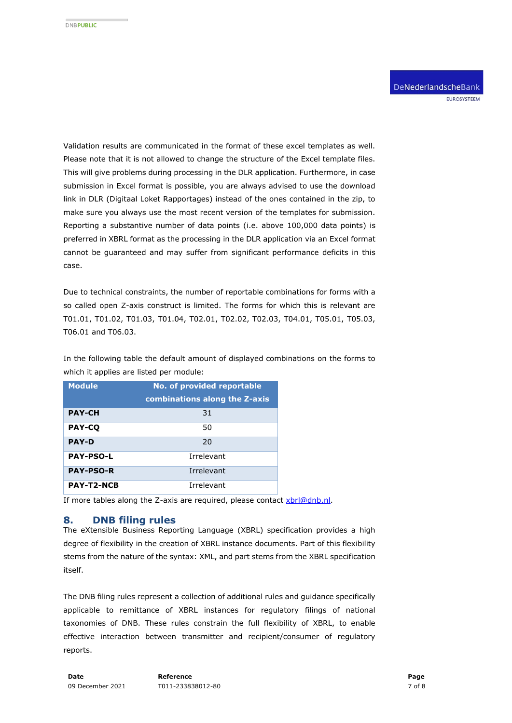Validation results are communicated in the format of these excel templates as well. Please note that it is not allowed to change the structure of the Excel template files. This will give problems during processing in the DLR application. Furthermore, in case submission in Excel format is possible, you are always advised to use the download link in DLR (Digitaal Loket Rapportages) instead of the ones contained in the zip, to make sure you always use the most recent version of the templates for submission. Reporting a substantive number of data points (i.e. above 100,000 data points) is preferred in XBRL format as the processing in the DLR application via an Excel format cannot be guaranteed and may suffer from significant performance deficits in this case.

Due to technical constraints, the number of reportable combinations for forms with a so called open Z-axis construct is limited. The forms for which this is relevant are T01.01, T01.02, T01.03, T01.04, T02.01, T02.02, T02.03, T04.01, T05.01, T05.03, T06.01 and T06.03.

In the following table the default amount of displayed combinations on the forms to which it applies are listed per module:

| <b>Module</b>     | No. of provided reportable    |
|-------------------|-------------------------------|
|                   | combinations along the Z-axis |
| <b>PAY-CH</b>     | 31                            |
| <b>PAY-CO</b>     | 50                            |
| <b>PAY-D</b>      | 20                            |
| <b>PAY-PSO-L</b>  | Irrelevant                    |
| <b>PAY-PSO-R</b>  | Irrelevant                    |
| <b>PAY-T2-NCB</b> | Irrelevant                    |

If more tables along the Z-axis are required, please contact [xbrl@dnb.nl.](mailto:xbrl@dnb.nl)

## **8. DNB filing rules**

The eXtensible Business Reporting Language (XBRL) specification provides a high degree of flexibility in the creation of XBRL instance documents. Part of this flexibility stems from the nature of the syntax: XML, and part stems from the XBRL specification itself.

The DNB filing rules represent a collection of additional rules and guidance specifically applicable to remittance of XBRL instances for regulatory filings of national taxonomies of DNB. These rules constrain the full flexibility of XBRL, to enable effective interaction between transmitter and recipient/consumer of regulatory reports.